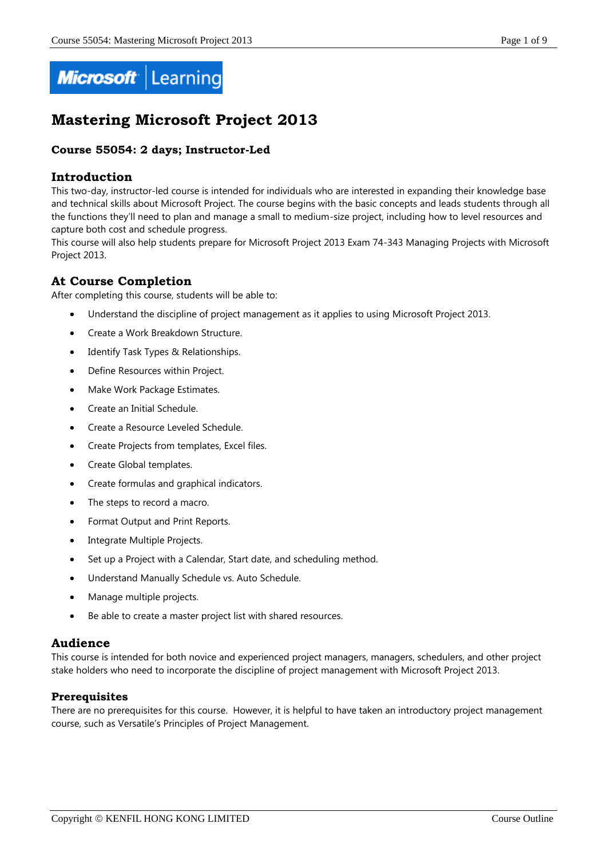

# **Mastering Microsoft Project 2013**

# **Course 55054: 2 days; Instructor-Led**

# **Introduction**

This two-day, instructor-led course is intended for individuals who are interested in expanding their knowledge base and technical skills about Microsoft Project. The course begins with the basic concepts and leads students through all the functions they'll need to plan and manage a small to medium-size project, including how to level resources and capture both cost and schedule progress.

This course will also help students prepare for Microsoft Project 2013 Exam 74-343 Managing Projects with Microsoft Project 2013.

# **At Course Completion**

After completing this course, students will be able to:

- Understand the discipline of project management as it applies to using Microsoft Project 2013.
- Create a Work Breakdown Structure.
- Identify Task Types & Relationships.
- Define Resources within Project.
- Make Work Package Estimates.
- Create an Initial Schedule.
- Create a Resource Leveled Schedule.
- Create Projects from templates, Excel files.
- Create Global templates.
- Create formulas and graphical indicators.
- The steps to record a macro.
- Format Output and Print Reports.
- Integrate Multiple Projects.
- Set up a Project with a Calendar, Start date, and scheduling method.
- Understand Manually Schedule vs. Auto Schedule.
- Manage multiple projects.
- Be able to create a master project list with shared resources.

# **Audience**

This course is intended for both novice and experienced project managers, managers, schedulers, and other project stake holders who need to incorporate the discipline of project management with Microsoft Project 2013.

# **Prerequisites**

There are no prerequisites for this course. However, it is helpful to have taken an introductory project management course, such as Versatile's Principles of Project Management.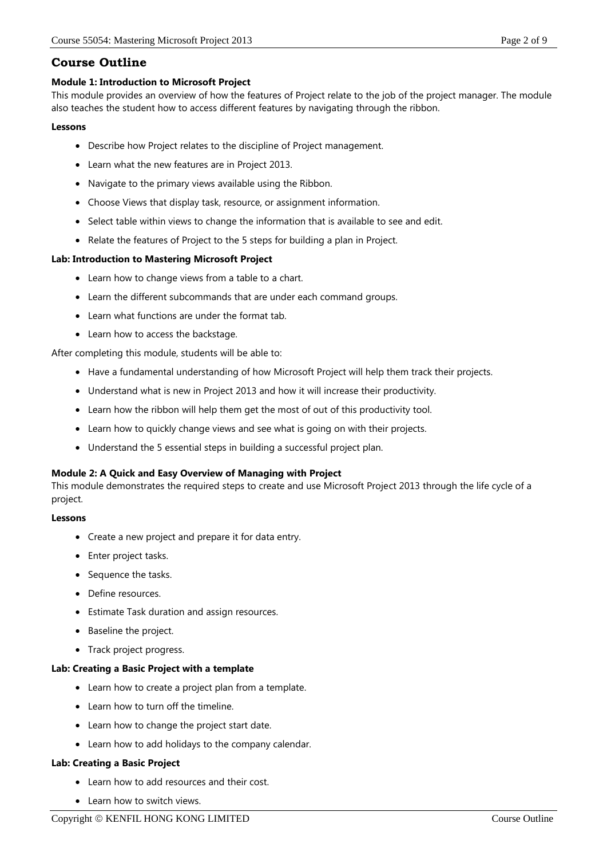# **Course Outline**

# **Module 1: Introduction to Microsoft Project**

This module provides an overview of how the features of Project relate to the job of the project manager. The module also teaches the student how to access different features by navigating through the ribbon.

### **Lessons**

- Describe how Project relates to the discipline of Project management.
- Learn what the new features are in Project 2013.
- Navigate to the primary views available using the Ribbon.
- Choose Views that display task, resource, or assignment information.
- Select table within views to change the information that is available to see and edit.
- Relate the features of Project to the 5 steps for building a plan in Project.

# **Lab: Introduction to Mastering Microsoft Project**

- Learn how to change views from a table to a chart.
- Learn the different subcommands that are under each command groups.
- Learn what functions are under the format tab.
- Learn how to access the backstage.

After completing this module, students will be able to:

- Have a fundamental understanding of how Microsoft Project will help them track their projects.
- Understand what is new in Project 2013 and how it will increase their productivity.
- Learn how the ribbon will help them get the most of out of this productivity tool.
- Learn how to quickly change views and see what is going on with their projects.
- Understand the 5 essential steps in building a successful project plan.

# **Module 2: A Quick and Easy Overview of Managing with Project**

This module demonstrates the required steps to create and use Microsoft Project 2013 through the life cycle of a project.

# **Lessons**

- Create a new project and prepare it for data entry.
- Enter project tasks.
- Sequence the tasks.
- Define resources.
- Estimate Task duration and assign resources.
- Baseline the project.
- Track project progress.

# **Lab: Creating a Basic Project with a template**

- Learn how to create a project plan from a template.
- Learn how to turn off the timeline.
- Learn how to change the project start date.
- Learn how to add holidays to the company calendar.

# **Lab: Creating a Basic Project**

- Learn how to add resources and their cost.
- Learn how to switch views.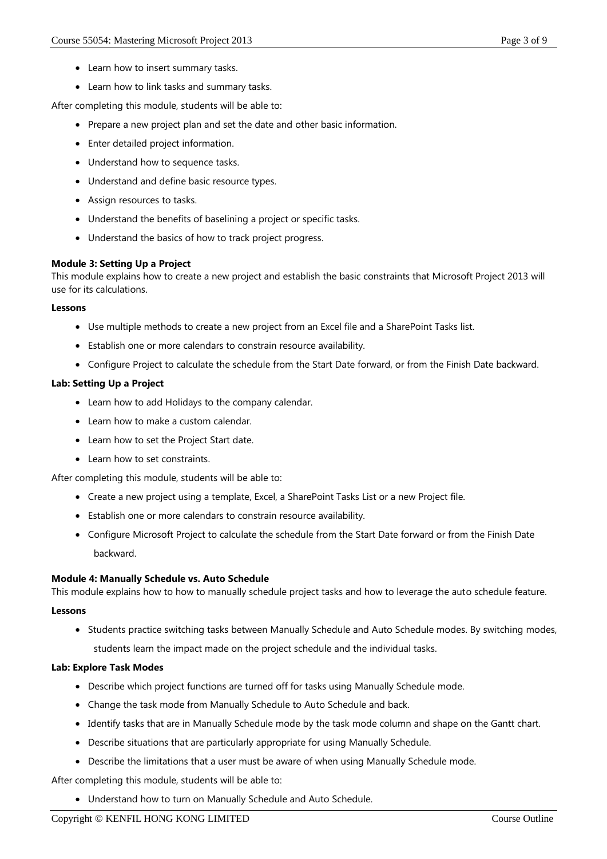- Learn how to insert summary tasks.
- Learn how to link tasks and summary tasks.

After completing this module, students will be able to:

- Prepare a new project plan and set the date and other basic information.
- Enter detailed project information.
- Understand how to sequence tasks.
- Understand and define basic resource types.
- Assign resources to tasks.
- Understand the benefits of baselining a project or specific tasks.
- Understand the basics of how to track project progress.

#### **Module 3: Setting Up a Project**

This module explains how to create a new project and establish the basic constraints that Microsoft Project 2013 will use for its calculations.

#### **Lessons**

- Use multiple methods to create a new project from an Excel file and a SharePoint Tasks list.
- Establish one or more calendars to constrain resource availability.
- Configure Project to calculate the schedule from the Start Date forward, or from the Finish Date backward.

### **Lab: Setting Up a Project**

- Learn how to add Holidays to the company calendar.
- Learn how to make a custom calendar.
- Learn how to set the Project Start date.
- Learn how to set constraints.

After completing this module, students will be able to:

- Create a new project using a template, Excel, a SharePoint Tasks List or a new Project file.
- Establish one or more calendars to constrain resource availability.
- Configure Microsoft Project to calculate the schedule from the Start Date forward or from the Finish Date backward.

#### **Module 4: Manually Schedule vs. Auto Schedule**

This module explains how to how to manually schedule project tasks and how to leverage the auto schedule feature.

#### **Lessons**

• Students practice switching tasks between Manually Schedule and Auto Schedule modes. By switching modes, students learn the impact made on the project schedule and the individual tasks.

#### **Lab: Explore Task Modes**

- Describe which project functions are turned off for tasks using Manually Schedule mode.
- Change the task mode from Manually Schedule to Auto Schedule and back.
- Identify tasks that are in Manually Schedule mode by the task mode column and shape on the Gantt chart.
- Describe situations that are particularly appropriate for using Manually Schedule.
- Describe the limitations that a user must be aware of when using Manually Schedule mode.

After completing this module, students will be able to:

Understand how to turn on Manually Schedule and Auto Schedule.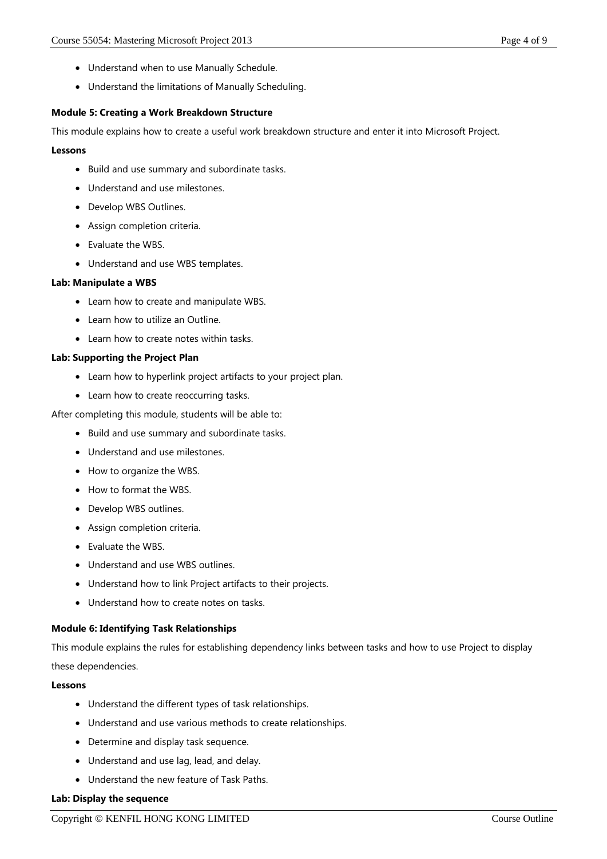- Understand when to use Manually Schedule.
- Understand the limitations of Manually Scheduling.

#### **Module 5: Creating a Work Breakdown Structure**

This module explains how to create a useful work breakdown structure and enter it into Microsoft Project.

#### **Lessons**

- Build and use summary and subordinate tasks.
- Understand and use milestones.
- Develop WBS Outlines.
- Assign completion criteria.
- Evaluate the WBS.
- Understand and use WBS templates.

#### **Lab: Manipulate a WBS**

- Learn how to create and manipulate WBS.
- Learn how to utilize an Outline.
- Learn how to create notes within tasks.

#### **Lab: Supporting the Project Plan**

- Learn how to hyperlink project artifacts to your project plan.
- Learn how to create reoccurring tasks.

After completing this module, students will be able to:

- Build and use summary and subordinate tasks.
- Understand and use milestones.
- How to organize the WBS.
- How to format the WBS.
- Develop WBS outlines.
- Assign completion criteria.
- Evaluate the WBS.
- Understand and use WBS outlines.
- Understand how to link Project artifacts to their projects.
- Understand how to create notes on tasks.

#### **Module 6: Identifying Task Relationships**

This module explains the rules for establishing dependency links between tasks and how to use Project to display these dependencies.

#### **Lessons**

- Understand the different types of task relationships.
- Understand and use various methods to create relationships.
- Determine and display task sequence.
- Understand and use lag, lead, and delay.
- Understand the new feature of Task Paths.

#### **Lab: Display the sequence**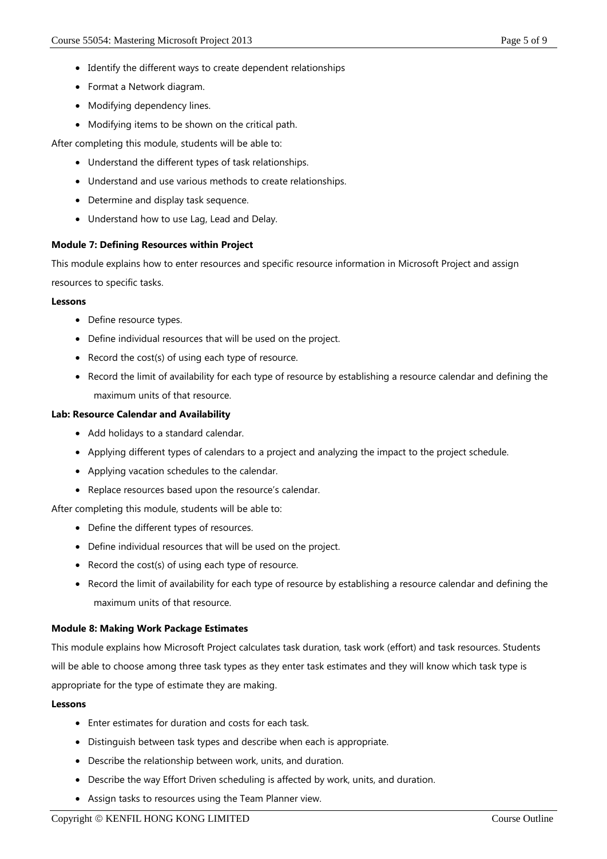- Identify the different ways to create dependent relationships
- Format a Network diagram.
- Modifying dependency lines.
- Modifying items to be shown on the critical path.

After completing this module, students will be able to:

- Understand the different types of task relationships.
- Understand and use various methods to create relationships.
- Determine and display task sequence.
- Understand how to use Lag, Lead and Delay.

### **Module 7: Defining Resources within Project**

This module explains how to enter resources and specific resource information in Microsoft Project and assign

resources to specific tasks.

#### **Lessons**

- Define resource types.
- Define individual resources that will be used on the project.
- Record the cost(s) of using each type of resource.
- Record the limit of availability for each type of resource by establishing a resource calendar and defining the maximum units of that resource.

#### **Lab: Resource Calendar and Availability**

- Add holidays to a standard calendar.
- Applying different types of calendars to a project and analyzing the impact to the project schedule.
- Applying vacation schedules to the calendar.
- Replace resources based upon the resource's calendar.

After completing this module, students will be able to:

- Define the different types of resources.
- Define individual resources that will be used on the project.
- Record the cost(s) of using each type of resource.
- Record the limit of availability for each type of resource by establishing a resource calendar and defining the maximum units of that resource.

#### **Module 8: Making Work Package Estimates**

This module explains how Microsoft Project calculates task duration, task work (effort) and task resources. Students will be able to choose among three task types as they enter task estimates and they will know which task type is appropriate for the type of estimate they are making.

#### **Lessons**

- Enter estimates for duration and costs for each task.
- Distinguish between task types and describe when each is appropriate.
- Describe the relationship between work, units, and duration.
- Describe the way Effort Driven scheduling is affected by work, units, and duration.
- Assign tasks to resources using the Team Planner view.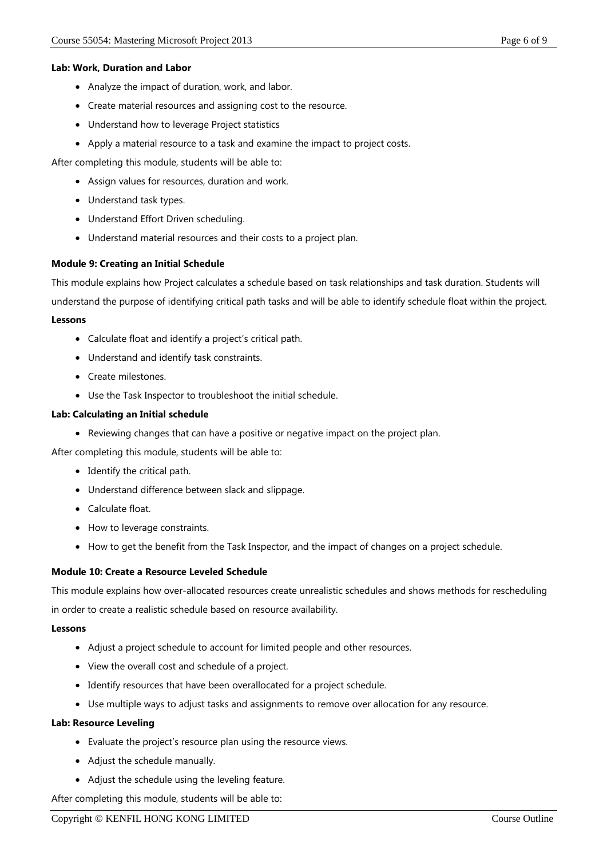#### **Lab: Work, Duration and Labor**

- Analyze the impact of duration, work, and labor.
- Create material resources and assigning cost to the resource.
- Understand how to leverage Project statistics
- Apply a material resource to a task and examine the impact to project costs.

After completing this module, students will be able to:

- Assign values for resources, duration and work.
- Understand task types.
- Understand Effort Driven scheduling.
- Understand material resources and their costs to a project plan.

### **Module 9: Creating an Initial Schedule**

This module explains how Project calculates a schedule based on task relationships and task duration. Students will

understand the purpose of identifying critical path tasks and will be able to identify schedule float within the project.

#### **Lessons**

- Calculate float and identify a project's critical path.
- Understand and identify task constraints.
- Create milestones.
- Use the Task Inspector to troubleshoot the initial schedule.

#### **Lab: Calculating an Initial schedule**

Reviewing changes that can have a positive or negative impact on the project plan.

After completing this module, students will be able to:

- Identify the critical path.
- Understand difference between slack and slippage.
- Calculate float.
- How to leverage constraints.
- How to get the benefit from the Task Inspector, and the impact of changes on a project schedule.

#### **Module 10: Create a Resource Leveled Schedule**

This module explains how over-allocated resources create unrealistic schedules and shows methods for rescheduling in order to create a realistic schedule based on resource availability.

#### **Lessons**

- Adjust a project schedule to account for limited people and other resources.
- View the overall cost and schedule of a project.
- Identify resources that have been overallocated for a project schedule.
- Use multiple ways to adjust tasks and assignments to remove over allocation for any resource.

#### **Lab: Resource Leveling**

- Evaluate the project's resource plan using the resource views.
- Adjust the schedule manually.
- Adjust the schedule using the leveling feature.

After completing this module, students will be able to: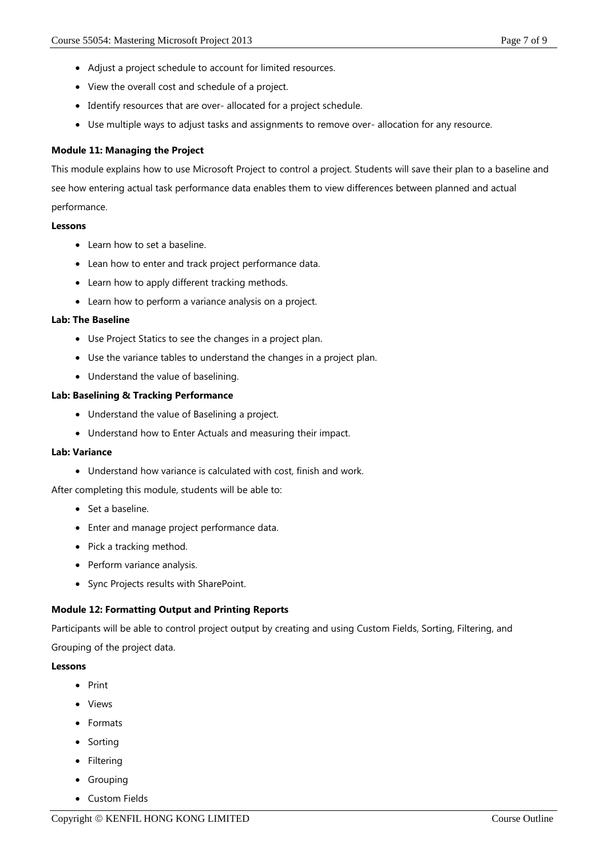- Adjust a project schedule to account for limited resources.
- View the overall cost and schedule of a project.
- Identify resources that are over- allocated for a project schedule.
- Use multiple ways to adjust tasks and assignments to remove over- allocation for any resource.

### **Module 11: Managing the Project**

This module explains how to use Microsoft Project to control a project. Students will save their plan to a baseline and see how entering actual task performance data enables them to view differences between planned and actual performance.

#### **Lessons**

- Learn how to set a baseline.
- Lean how to enter and track project performance data.
- Learn how to apply different tracking methods.
- Learn how to perform a variance analysis on a project.

#### **Lab: The Baseline**

- Use Project Statics to see the changes in a project plan.
- Use the variance tables to understand the changes in a project plan.
- Understand the value of baselining.

#### **Lab: Baselining & Tracking Performance**

- Understand the value of Baselining a project.
- Understand how to Enter Actuals and measuring their impact.

#### **Lab: Variance**

Understand how variance is calculated with cost, finish and work.

After completing this module, students will be able to:

- Set a baseline.
- Enter and manage project performance data.
- Pick a tracking method.
- Perform variance analysis.
- Sync Projects results with SharePoint.

#### **Module 12: Formatting Output and Printing Reports**

Participants will be able to control project output by creating and using Custom Fields, Sorting, Filtering, and Grouping of the project data.

#### **Lessons**

- $\bullet$  Print
- Views
- Formats
- Sorting
- Filtering
- Grouping
- Custom Fields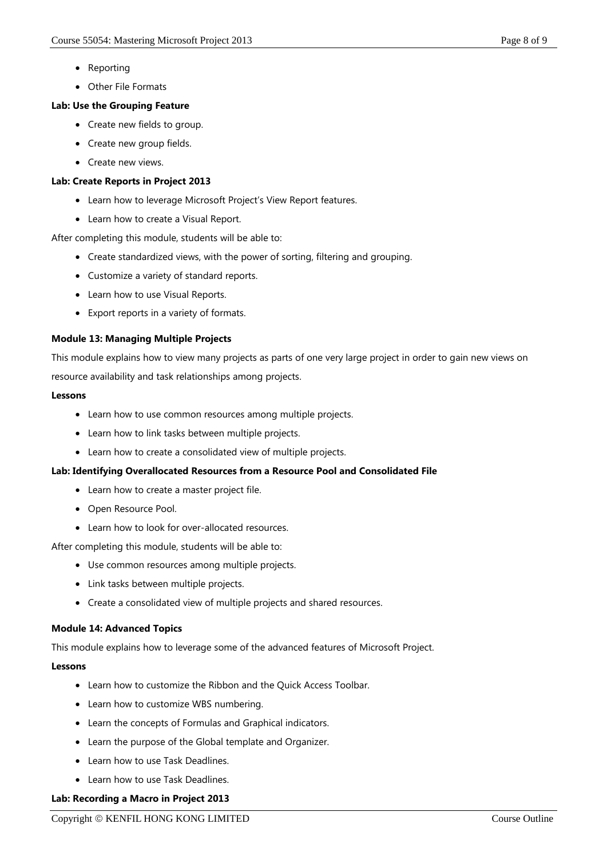- Reporting
- Other File Formats

# **Lab: Use the Grouping Feature**

- Create new fields to group.
- Create new group fields.
- Create new views.

# **Lab: Create Reports in Project 2013**

- Learn how to leverage Microsoft Project's View Report features.
- Learn how to create a Visual Report.

After completing this module, students will be able to:

- Create standardized views, with the power of sorting, filtering and grouping.
- Customize a variety of standard reports.
- Learn how to use Visual Reports.
- Export reports in a variety of formats.

# **Module 13: Managing Multiple Projects**

This module explains how to view many projects as parts of one very large project in order to gain new views on resource availability and task relationships among projects.

### **Lessons**

- Learn how to use common resources among multiple projects.
- Learn how to link tasks between multiple projects.
- Learn how to create a consolidated view of multiple projects.

# **Lab: Identifying Overallocated Resources from a Resource Pool and Consolidated File**

- Learn how to create a master project file.
- Open Resource Pool.
- Learn how to look for over-allocated resources.

After completing this module, students will be able to:

- Use common resources among multiple projects.
- Link tasks between multiple projects.
- Create a consolidated view of multiple projects and shared resources.

# **Module 14: Advanced Topics**

This module explains how to leverage some of the advanced features of Microsoft Project.

# **Lessons**

- Learn how to customize the Ribbon and the Quick Access Toolbar.
- Learn how to customize WBS numbering.
- Learn the concepts of Formulas and Graphical indicators.
- Learn the purpose of the Global template and Organizer.
- Learn how to use Task Deadlines.
- Learn how to use Task Deadlines.

# **Lab: Recording a Macro in Project 2013**